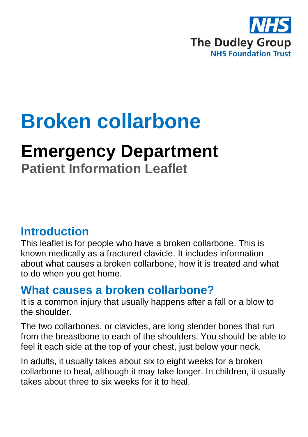

# **Broken collarbone**

## **Emergency Department**

**Patient Information Leaflet**

## **Introduction**

This leaflet is for people who have a broken collarbone. This is known medically as a fractured clavicle. It includes information about what causes a broken collarbone, how it is treated and what to do when you get home.

### **What causes a broken collarbone?**

It is a common injury that usually happens after a fall or a blow to the shoulder.

The two collarbones, or clavicles, are long slender bones that run from the breastbone to each of the shoulders. You should be able to feel it each side at the top of your chest, just below your neck.

In adults, it usually takes about six to eight weeks for a broken collarbone to heal, although it may take longer. In children, it usually takes about three to six weeks for it to heal.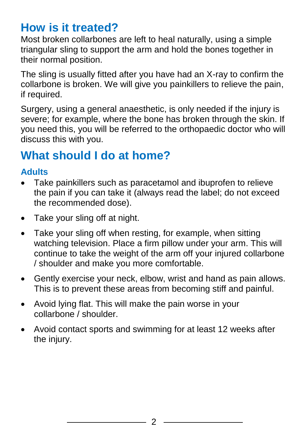## **How is it treated?**

Most broken collarbones are left to heal naturally, using a simple triangular sling to support the arm and hold the bones together in their normal position.

The sling is usually fitted after you have had an X-ray to confirm the collarbone is broken. We will give you painkillers to relieve the pain, if required.

Surgery, using a general anaesthetic, is only needed if the injury is severe; for example, where the bone has broken through the skin. If you need this, you will be referred to the orthopaedic doctor who will discuss this with you.

## **What should I do at home?**

#### **Adults**

- Take painkillers such as paracetamol and ibuprofen to relieve the pain if you can take it (always read the label; do not exceed the recommended dose).
- Take your sling off at night.
- Take your sling off when resting, for example, when sitting watching television. Place a firm pillow under your arm. This will continue to take the weight of the arm off your injured collarbone / shoulder and make you more comfortable.
- Gently exercise your neck, elbow, wrist and hand as pain allows. This is to prevent these areas from becoming stiff and painful.
- Avoid lying flat. This will make the pain worse in your collarbone / shoulder.
- Avoid contact sports and swimming for at least 12 weeks after the injury.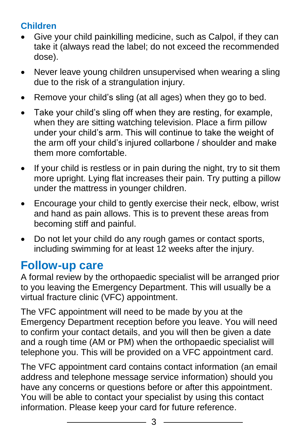#### **Children**

- Give your child painkilling medicine, such as Calpol, if they can take it (always read the label; do not exceed the recommended dose).
- Never leave young children unsupervised when wearing a sling due to the risk of a strangulation injury.
- Remove your child's sling (at all ages) when they go to bed.
- Take your child's sling off when they are resting, for example, when they are sitting watching television. Place a firm pillow under your child's arm. This will continue to take the weight of the arm off your child's injured collarbone / shoulder and make them more comfortable.
- If your child is restless or in pain during the night, try to sit them more upright. Lying flat increases their pain. Try putting a pillow under the mattress in younger children.
- Encourage your child to gently exercise their neck, elbow, wrist and hand as pain allows. This is to prevent these areas from becoming stiff and painful.
- Do not let your child do any rough games or contact sports, including swimming for at least 12 weeks after the injury.

## **Follow-up care**

A formal review by the orthopaedic specialist will be arranged prior to you leaving the Emergency Department. This will usually be a virtual fracture clinic (VFC) appointment.

The VFC appointment will need to be made by you at the Emergency Department reception before you leave. You will need to confirm your contact details, and you will then be given a date and a rough time (AM or PM) when the orthopaedic specialist will telephone you. This will be provided on a VFC appointment card.

The VFC appointment card contains contact information (an email address and telephone message service information) should you have any concerns or questions before or after this appointment. You will be able to contact your specialist by using this contact information. Please keep your card for future reference.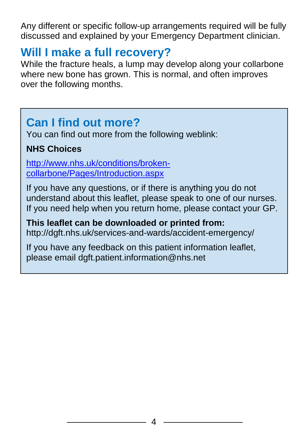Any different or specific follow-up arrangements required will be fully discussed and explained by your Emergency Department clinician.

## **Will I make a full recovery?**

While the fracture heals, a lump may develop along your collarbone where new bone has grown. This is normal, and often improves over the following months.

## **Can I find out more?**

You can find out more from the following weblink:

#### **NHS Choices**

[http://www.nhs.uk/conditions/broken](http://www.nhs.uk/conditions/broken-collarbone/Pages/Introduction.aspx)[collarbone/Pages/Introduction.aspx](http://www.nhs.uk/conditions/broken-collarbone/Pages/Introduction.aspx)

If you have any questions, or if there is anything you do not understand about this leaflet, please speak to one of our nurses. If you need help when you return home, please contact your GP.

**This leaflet can be downloaded or printed from:** http://dgft.nhs.uk/services-and-wards/accident-emergency/

If you have any feedback on this patient information leaflet, please email dgft.patient.information@nhs.net